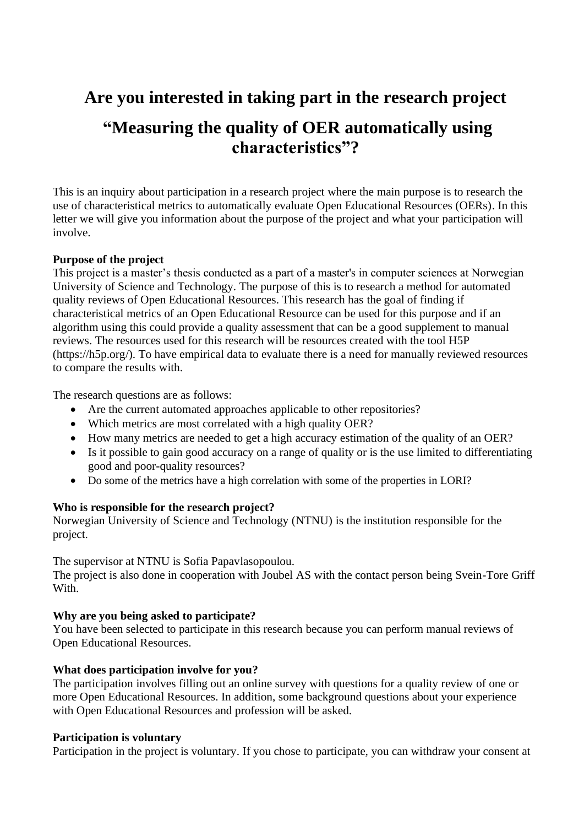# **Are you interested in taking part in the research project "Measuring the quality of OER automatically using characteristics"?**

This is an inquiry about participation in a research project where the main purpose is to research the use of characteristical metrics to automatically evaluate Open Educational Resources (OERs). In this letter we will give you information about the purpose of the project and what your participation will involve.

# **Purpose of the project**

This project is a master's thesis conducted as a part of a master's in computer sciences at Norwegian University of Science and Technology. The purpose of this is to research a method for automated quality reviews of Open Educational Resources. This research has the goal of finding if characteristical metrics of an Open Educational Resource can be used for this purpose and if an algorithm using this could provide a quality assessment that can be a good supplement to manual reviews. The resources used for this research will be resources created with the tool H5P (https://h5p.org/). To have empirical data to evaluate there is a need for manually reviewed resources to compare the results with.

The research questions are as follows:

- Are the current automated approaches applicable to other repositories?
- Which metrics are most correlated with a high quality OER?
- How many metrics are needed to get a high accuracy estimation of the quality of an OER?
- Is it possible to gain good accuracy on a range of quality or is the use limited to differentiating good and poor-quality resources?
- Do some of the metrics have a high correlation with some of the properties in LORI?

#### **Who is responsible for the research project?**

Norwegian University of Science and Technology (NTNU) is the institution responsible for the project.

The supervisor at NTNU is Sofia Papavlasopoulou.

The project is also done in cooperation with Joubel AS with the contact person being Svein-Tore Griff With.

#### **Why are you being asked to participate?**

You have been selected to participate in this research because you can perform manual reviews of Open Educational Resources.

#### **What does participation involve for you?**

The participation involves filling out an online survey with questions for a quality review of one or more Open Educational Resources. In addition, some background questions about your experience with Open Educational Resources and profession will be asked.

#### **Participation is voluntary**

Participation in the project is voluntary. If you chose to participate, you can withdraw your consent at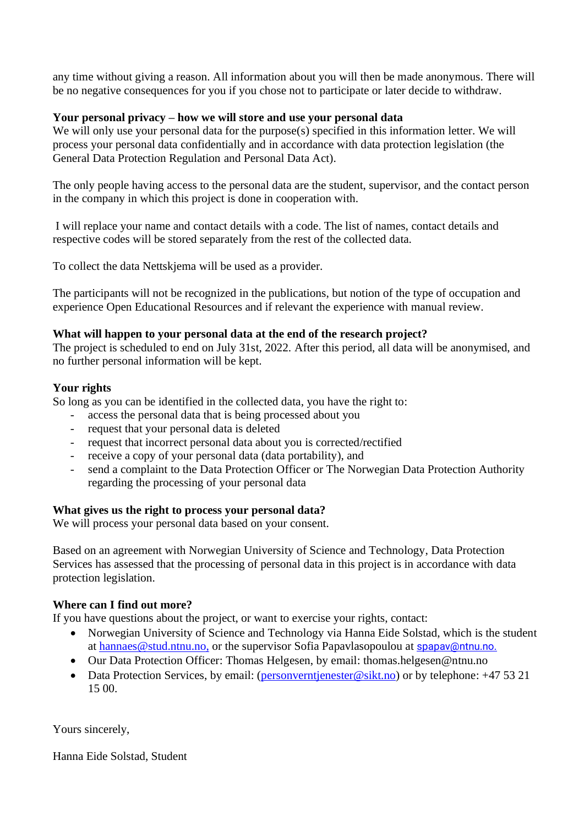any time without giving a reason. All information about you will then be made anonymous. There will be no negative consequences for you if you chose not to participate or later decide to withdraw.

# **Your personal privacy – how we will store and use your personal data**

We will only use your personal data for the purpose(s) specified in this information letter. We will process your personal data confidentially and in accordance with data protection legislation (the General Data Protection Regulation and Personal Data Act).

The only people having access to the personal data are the student, supervisor, and the contact person in the company in which this project is done in cooperation with.

I will replace your name and contact details with a code. The list of names, contact details and respective codes will be stored separately from the rest of the collected data.

To collect the data Nettskjema will be used as a provider.

The participants will not be recognized in the publications, but notion of the type of occupation and experience Open Educational Resources and if relevant the experience with manual review.

# **What will happen to your personal data at the end of the research project?**

The project is scheduled to end on July 31st, 2022*.* After this period, all data will be anonymised, and no further personal information will be kept.

# **Your rights**

So long as you can be identified in the collected data, you have the right to:

- access the personal data that is being processed about you
- request that your personal data is deleted
- request that incorrect personal data about you is corrected/rectified
- receive a copy of your personal data (data portability), and
- send a complaint to the Data Protection Officer or The Norwegian Data Protection Authority regarding the processing of your personal data

#### **What gives us the right to process your personal data?**

We will process your personal data based on your consent.

Based on an agreement with Norwegian University of Science and Technology, Data Protection Services has assessed that the processing of personal data in this project is in accordance with data protection legislation.

# **Where can I find out more?**

If you have questions about the project, or want to exercise your rights, contact:

- Norwegian University of Science and Technology via Hanna Eide Solstad, which is the student at [hannaes@stud.ntnu.no,](mailto:hannaes@stud.ntnu.no) or the supervisor Sofia Papavlasopoulou at [spapav@ntnu.no.](mailto:spapav@ntnu.no)
- Our Data Protection Officer: Thomas Helgesen, by email: thomas.helgesen@ntnu.no
- Data Protection Services, by email: [\(personverntjenester@sikt.no\)](mailto:personverntjenester@sikt.no) or by telephone: +47 53 21 15 00.

Yours sincerely,

Hanna Eide Solstad, Student